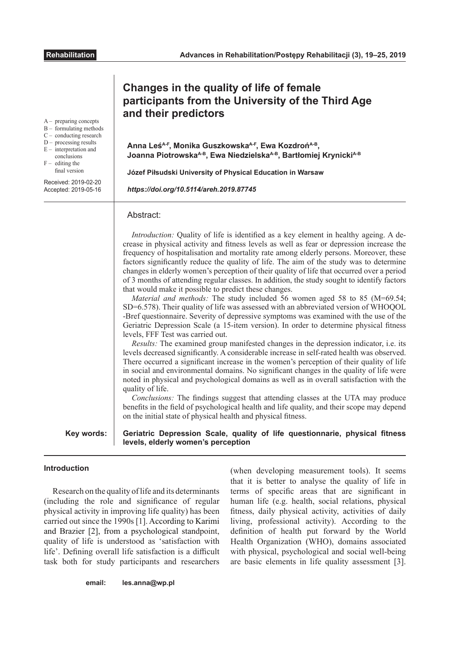A – preparing concepts B – formulating methods C – conducting research D – processing results E – interpretation and conclusions  $-$  editing the final version Received: 2019-02-20 Accepted: 2019-05-16

# **Changes in the quality of life of female participants from the University of the Third Age and their predictors**

**Anna LeśA-F, Monika GuszkowskaA-F, Ewa KozdrońA-B, Joanna PiotrowskaA-B, Ewa NiedzielskaA-B, Bartłomiej KrynickiA-B**

**Józef Piłsudski University of Physical Education in Warsaw**

*https://doi.org/10.5114/areh.2019.87745*

#### Abstract:

*Introduction:* Quality of life is identified as a key element in healthy ageing. A decrease in physical activity and fitness levels as well as fear or depression increase the frequency of hospitalisation and mortality rate among elderly persons. Moreover, these factors significantly reduce the quality of life. The aim of the study was to determine changes in elderly women's perception of their quality of life that occurred over a period of 3 months of attending regular classes. In addition, the study sought to identify factors that would make it possible to predict these changes.

*Material and methods:* The study included 56 women aged 58 to 85 (M=69.54; SD=6.578). Their quality of life was assessed with an abbreviated version of WHOQOL -Bref questionnaire. Severity of depressive symptoms was examined with the use of the Geriatric Depression Scale (a 15-item version). In order to determine physical fitness levels, FFF Test was carried out.

*Results:* The examined group manifested changes in the depression indicator, i.e. its levels decreased significantly. A considerable increase in self-rated health was observed. There occurred a significant increase in the women's perception of their quality of life in social and environmental domains. No significant changes in the quality of life were noted in physical and psychological domains as well as in overall satisfaction with the quality of life.

*Conclusions:* The findings suggest that attending classes at the UTA may produce benefits in the field of psychological health and life quality, and their scope may depend on the initial state of physical health and physical fitness.

**Key words:**

### **Geriatric Depression Scale, quality of life questionnarie, physical fitness levels, elderly women's perception**

# **Introduction**

Research on the quality of life and its determinants (including the role and significance of regular physical activity in improving life quality) has been carried out since the 1990s [1]. According to Karimi and Brazier [2], from a psychological standpoint, quality of life is understood as 'satisfaction with life'. Defining overall life satisfaction is a difficult task both for study participants and researchers (when developing measurement tools). It seems that it is better to analyse the quality of life in terms of specific areas that are significant in human life (e.g. health, social relations, physical fitness, daily physical activity, activities of daily living, professional activity). According to the definition of health put forward by the World Health Organization (WHO), domains associated with physical, psychological and social well-being are basic elements in life quality assessment [3].

**email: les.anna@wp.pl**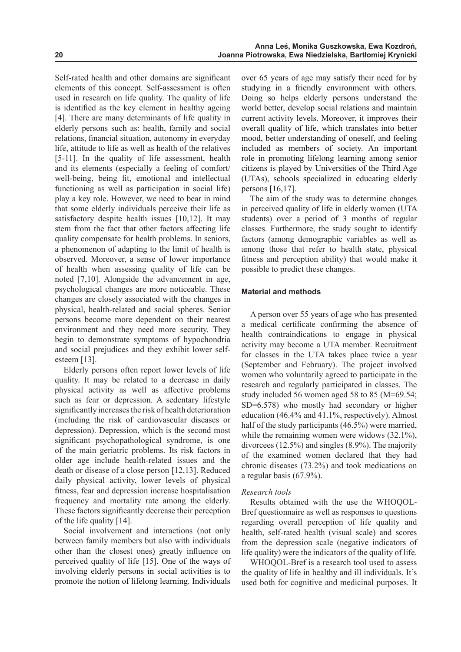Self-rated health and other domains are significant elements of this concept. Self-assessment is often used in research on life quality. The quality of life is identified as the key element in healthy ageing [4]. There are many determinants of life quality in elderly persons such as: health, family and social relations, financial situation, autonomy in everyday life, attitude to life as well as health of the relatives [5-11]. In the quality of life assessment, health and its elements (especially a feeling of comfort/ well-being, being fit, emotional and intellectual functioning as well as participation in social life) play a key role. However, we need to bear in mind that some elderly individuals perceive their life as satisfactory despite health issues [10,12]. It may stem from the fact that other factors affecting life quality compensate for health problems. In seniors, a phenomenon of adapting to the limit of health is observed. Moreover, a sense of lower importance of health when assessing quality of life can be noted [7,10]. Alongside the advancement in age, psychological changes are more noticeable. These changes are closely associated with the changes in physical, health-related and social spheres. Senior persons become more dependent on their nearest environment and they need more security. They begin to demonstrate symptoms of hypochondria and social prejudices and they exhibit lower selfesteem [13].

Elderly persons often report lower levels of life quality. It may be related to a decrease in daily physical activity as well as affective problems such as fear or depression. A sedentary lifestyle significantly increases the risk of health deterioration (including the risk of cardiovascular diseases or depression). Depression, which is the second most significant psychopathological syndrome, is one of the main geriatric problems. Its risk factors in older age include health-related issues and the death or disease of a close person [12,13]. Reduced daily physical activity, lower levels of physical fitness, fear and depression increase hospitalisation frequency and mortality rate among the elderly. These factors significantly decrease their perception of the life quality [14].

Social involvement and interactions (not only between family members but also with individuals other than the closest ones) greatly influence on perceived quality of life [15]. One of the ways of involving elderly persons in social activities is to promote the notion of lifelong learning. Individuals

over 65 years of age may satisfy their need for by studying in a friendly environment with others. Doing so helps elderly persons understand the world better, develop social relations and maintain current activity levels. Moreover, it improves their overall quality of life, which translates into better mood, better understanding of oneself, and feeling included as members of society. An important role in promoting lifelong learning among senior citizens is played by Universities of the Third Age (UTAs), schools specialized in educating elderly persons [16,17].

The aim of the study was to determine changes in perceived quality of life in elderly women (UTA students) over a period of 3 months of regular classes. Furthermore, the study sought to identify factors (among demographic variables as well as among those that refer to health state, physical fitness and perception ability) that would make it possible to predict these changes.

# **Material and methods**

A person over 55 years of age who has presented a medical certificate confirming the absence of health contraindications to engage in physical activity may become a UTA member. Recruitment for classes in the UTA takes place twice a year (September and February). The project involved women who voluntarily agreed to participate in the research and regularly participated in classes. The study included 56 women aged 58 to 85 (M=69.54; SD=6.578) who mostly had secondary or higher education (46.4% and 41.1%, respectively). Almost half of the study participants (46.5%) were married, while the remaining women were widows (32.1%), divorcees (12.5%) and singles (8.9%). The majority of the examined women declared that they had chronic diseases (73.2%) and took medications on a regular basis (67.9%).

# *Research tools*

Results obtained with the use the WHOQOL-Bref questionnaire as well as responses to questions regarding overall perception of life quality and health, self-rated health (visual scale) and scores from the depression scale (negative indicators of life quality) were the indicators of the quality of life.

WHOQOL-Bref is a research tool used to assess the quality of life in healthy and ill individuals. It's used both for cognitive and medicinal purposes. It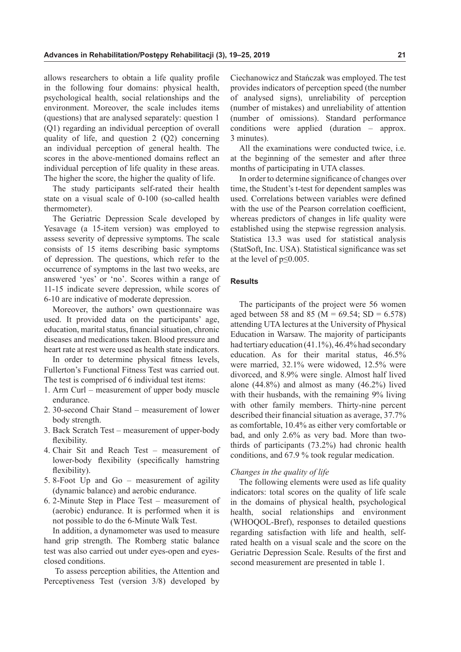allows researchers to obtain a life quality profile in the following four domains: physical health, psychological health, social relationships and the environment. Moreover, the scale includes items (questions) that are analysed separately: question 1 (Q1) regarding an individual perception of overall quality of life, and question 2 (Q2) concerning an individual perception of general health. The scores in the above-mentioned domains reflect an individual perception of life quality in these areas. The higher the score, the higher the quality of life.

The study participants self-rated their health state on a visual scale of 0-100 (so-called health thermometer).

The Geriatric Depression Scale developed by Yesavage (a 15-item version) was employed to assess severity of depressive symptoms. The scale consists of 15 items describing basic symptoms of depression. The questions, which refer to the occurrence of symptoms in the last two weeks, are answered 'yes' or 'no'. Scores within a range of 11-15 indicate severe depression, while scores of 6-10 are indicative of moderate depression.

Moreover, the authors' own questionnaire was used. It provided data on the participants' age, education, marital status, financial situation, chronic diseases and medications taken. Blood pressure and heart rate at rest were used as health state indicators.

In order to determine physical fitness levels, Fullerton's Functional Fitness Test was carried out. The test is comprised of 6 individual test items:

- 1. Arm Curl measurement of upper body muscle endurance.
- 2. 30-second Chair Stand measurement of lower body strength.
- 3. Back Scratch Test measurement of upper-body flexibility.
- 4. Chair Sit and Reach Test measurement of lower-body flexibility (specifically hamstring flexibility).
- 5. 8-Foot Up and Go measurement of agility (dynamic balance) and aerobic endurance.
- 6. 2-Minute Step in Place Test measurement of (aerobic) endurance. It is performed when it is not possible to do the 6-Minute Walk Test.

In addition, a dynamometer was used to measure hand grip strength. The Romberg static balance test was also carried out under eyes-open and eyesclosed conditions.

 To assess perception abilities, the Attention and Perceptiveness Test (version 3/8) developed by

Ciechanowicz and Stańczak was employed. The test provides indicators of perception speed (the number of analysed signs), unreliability of perception (number of mistakes) and unreliability of attention (number of omissions). Standard performance conditions were applied (duration – approx. 3 minutes).

All the examinations were conducted twice, i.e. at the beginning of the semester and after three months of participating in UTA classes.

In order to determine significance of changes over time, the Student's t-test for dependent samples was used. Correlations between variables were defined with the use of the Pearson correlation coefficient. whereas predictors of changes in life quality were established using the stepwise regression analysis. Statistica 13.3 was used for statistical analysis (StatSoft, Inc. USA). Statistical significance was set at the level of p≤0.005.

#### **Results**

The participants of the project were 56 women aged between 58 and 85 ( $M = 69.54$ ; SD = 6.578) attending UTA lectures at the University of Physical Education in Warsaw. The majority of participants had tertiary education (41.1%), 46.4% had secondary education. As for their marital status, 46.5% were married, 32.1% were widowed, 12.5% were divorced, and 8.9% were single. Almost half lived alone (44.8%) and almost as many (46.2%) lived with their husbands, with the remaining 9% living with other family members. Thirty-nine percent described their financial situation as average, 37.7% as comfortable, 10.4% as either very comfortable or bad, and only 2.6% as very bad. More than twothirds of participants (73.2%) had chronic health conditions, and 67.9 % took regular medication.

# *Changes in the quality of life*

The following elements were used as life quality indicators: total scores on the quality of life scale in the domains of physical health, psychological health, social relationships and environment (WHOQOL-Bref), responses to detailed questions regarding satisfaction with life and health, selfrated health on a visual scale and the score on the Geriatric Depression Scale. Results of the first and second measurement are presented in table 1.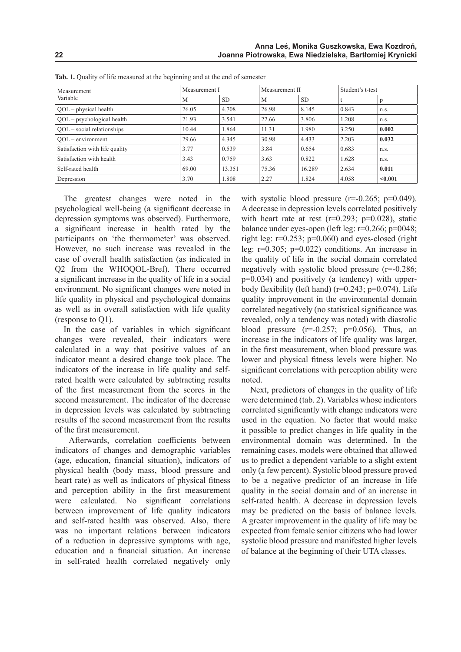| Measurement<br>Variable        | Measurement I |           | Measurement II |           | Student's t-test |         |
|--------------------------------|---------------|-----------|----------------|-----------|------------------|---------|
|                                | M             | <b>SD</b> | M              | <b>SD</b> |                  |         |
| $QOL$ – physical health        | 26.05         | 4.708     | 26.98          | 8.145     | 0.843            | n.s.    |
| $QOL$ – psychological health   | 21.93         | 3.541     | 22.66          | 3.806     | 1.208            | n.s.    |
| $QOL$ – social relationships   | 10.44         | 1.864     | 11.31          | 1.980     | 3.250            | 0.002   |
| $OOL$ – environment            | 29.66         | 4.345     | 30.98          | 4.433     | 2.203            | 0.032   |
| Satisfaction with life quality | 3.77          | 0.539     | 3.84           | 0.654     | 0.683            | n.s.    |
| Satisfaction with health       | 3.43          | 0.759     | 3.63           | 0.822     | 1.628            | n.s.    |
| Self-rated health              | 69.00         | 13.351    | 75.36          | 16.289    | 2.634            | 0.011   |
| Depression                     | 3.70          | 1.808     | 2.27           | 1.824     | 4.058            | < 0.001 |

Tab. 1. Quality of life measured at the beginning and at the end of semester

The greatest changes were noted in the psychological well-being (a significant decrease in depression symptoms was observed). Furthermore, a significant increase in health rated by the participants on 'the thermometer' was observed. However, no such increase was revealed in the case of overall health satisfaction (as indicated in Q2 from the WHOQOL-Bref). There occurred a significant increase in the quality of life in a social environment. No significant changes were noted in life quality in physical and psychological domains as well as in overall satisfaction with life quality (response to Q1).

In the case of variables in which significant changes were revealed, their indicators were calculated in a way that positive values of an indicator meant a desired change took place. The indicators of the increase in life quality and selfrated health were calculated by subtracting results of the first measurement from the scores in the second measurement. The indicator of the decrease in depression levels was calculated by subtracting results of the second measurement from the results of the first measurement.

 Afterwards, correlation coefficients between indicators of changes and demographic variables (age, education, financial situation), indicators of physical health (body mass, blood pressure and heart rate) as well as indicators of physical fitness and perception ability in the first measurement were calculated. No significant correlations between improvement of life quality indicators and self-rated health was observed. Also, there was no important relations between indicators of a reduction in depressive symptoms with age, education and a financial situation. An increase in self-rated health correlated negatively only

with systolic blood pressure  $(r=0.265; p=0.049)$ . A decrease in depression levels correlated positively with heart rate at rest  $(r=0.293; p=0.028)$ , static balance under eyes-open (left leg: r=0.266; p=0048; right leg:  $r=0.253$ ;  $p=0.060$ ) and eyes-closed (right leg: r=0.305; p=0.022) conditions. An increase in the quality of life in the social domain correlated negatively with systolic blood pressure (r=-0.286; p=0.034) and positively (a tendency) with upperbody flexibility (left hand) ( $r=0.243$ ;  $p=0.074$ ). Life quality improvement in the environmental domain correlated negatively (no statistical significance was revealed, only a tendency was noted) with diastolic blood pressure  $(r=-0.257; p=0.056)$ . Thus, an increase in the indicators of life quality was larger, in the first measurement, when blood pressure was lower and physical fitness levels were higher. No significant correlations with perception ability were noted.

Next, predictors of changes in the quality of life were determined (tab. 2). Variables whose indicators correlated significantly with change indicators were used in the equation. No factor that would make it possible to predict changes in life quality in the environmental domain was determined. In the remaining cases, models were obtained that allowed us to predict a dependent variable to a slight extent only (a few percent). Systolic blood pressure proved to be a negative predictor of an increase in life quality in the social domain and of an increase in self-rated health. A decrease in depression levels may be predicted on the basis of balance levels. A greater improvement in the quality of life may be expected from female senior citizens who had lower systolic blood pressure and manifested higher levels of balance at the beginning of their UTA classes.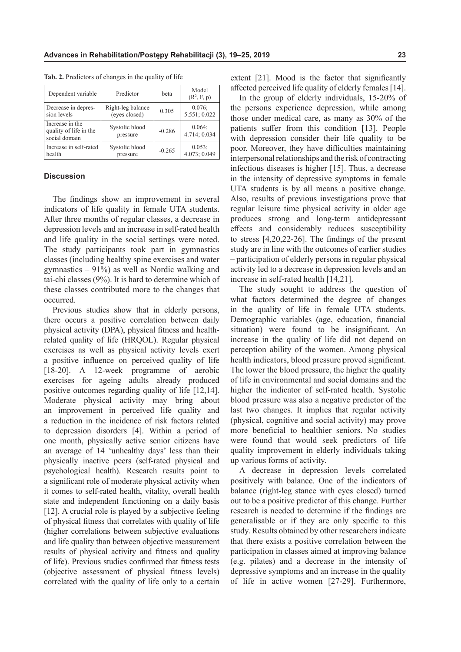| Dependent variable                                         | Predictor                  | beta     | Model<br>$(R^2, F, p)$ |  |
|------------------------------------------------------------|----------------------------|----------|------------------------|--|
| Decrease in depres-                                        | Right-leg balance          | 0.305    | 0.076;                 |  |
| sion levels                                                | (eyes closed)              |          | 5.551; 0.022           |  |
| Increase in the<br>quality of life in the<br>social domain | Systolic blood<br>pressure | $-0.286$ | 0.064;<br>4.714; 0.034 |  |
| Increase in self-rated                                     | Systolic blood             | $-0.265$ | $0.053$ ;              |  |
| health                                                     | pressure                   |          | 4.073; 0.049           |  |

**Tab. 2.** Predictors of changes in the quality of life

#### **Discussion**

The findings show an improvement in several indicators of life quality in female UTA students. After three months of regular classes, a decrease in depression levels and an increase in self-rated health and life quality in the social settings were noted. The study participants took part in gymnastics classes (including healthy spine exercises and water gymnastics – 91%) as well as Nordic walking and tai-chi classes (9%). It is hard to determine which of these classes contributed more to the changes that occurred.

Previous studies show that in elderly persons, there occurs a positive correlation between daily physical activity (DPA), physical fitness and healthrelated quality of life (HRQOL). Regular physical exercises as well as physical activity levels exert a positive influence on perceived quality of life [18-20]. A 12-week programme of aerobic exercises for ageing adults already produced positive outcomes regarding quality of life [12,14]. Moderate physical activity may bring about an improvement in perceived life quality and a reduction in the incidence of risk factors related to depression disorders [4]. Within a period of one month, physically active senior citizens have an average of 14 'unhealthy days' less than their physically inactive peers (self-rated physical and psychological health). Research results point to a significant role of moderate physical activity when it comes to self-rated health, vitality, overall health state and independent functioning on a daily basis [12]. A crucial role is played by a subjective feeling of physical fitness that correlates with quality of life (higher correlations between subjective evaluations and life quality than between objective measurement results of physical activity and fitness and quality of life). Previous studies confirmed that fitness tests (objective assessment of physical fitness levels) correlated with the quality of life only to a certain

extent [21]. Mood is the factor that significantly affected perceived life quality of elderly females [14].

In the group of elderly individuals, 15-20% of the persons experience depression, while among those under medical care, as many as 30% of the patients suffer from this condition [13]. People with depression consider their life quality to be poor. Moreover, they have difficulties maintaining interpersonal relationships and the risk of contracting infectious diseases is higher [15]. Thus, a decrease in the intensity of depressive symptoms in female UTA students is by all means a positive change. Also, results of previous investigations prove that regular leisure time physical activity in older age produces strong and long-term antidepressant effects and considerably reduces susceptibility to stress [4,20,22-26]. The findings of the present study are in line with the outcomes of earlier studies – participation of elderly persons in regular physical activity led to a decrease in depression levels and an increase in self-rated health [14,21].

The study sought to address the question of what factors determined the degree of changes in the quality of life in female UTA students. Demographic variables (age, education, financial situation) were found to be insignificant. An increase in the quality of life did not depend on perception ability of the women. Among physical health indicators, blood pressure proved significant. The lower the blood pressure, the higher the quality of life in environmental and social domains and the higher the indicator of self-rated health. Systolic blood pressure was also a negative predictor of the last two changes. It implies that regular activity (physical, cognitive and social activity) may prove more beneficial to healthier seniors. No studies were found that would seek predictors of life quality improvement in elderly individuals taking up various forms of activity.

A decrease in depression levels correlated positively with balance. One of the indicators of balance (right-leg stance with eyes closed) turned out to be a positive predictor of this change. Further research is needed to determine if the findings are generalisable or if they are only specific to this study. Results obtained by other researchers indicate that there exists a positive correlation between the participation in classes aimed at improving balance (e.g. pilates) and a decrease in the intensity of depressive symptoms and an increase in the quality of life in active women [27-29]. Furthermore,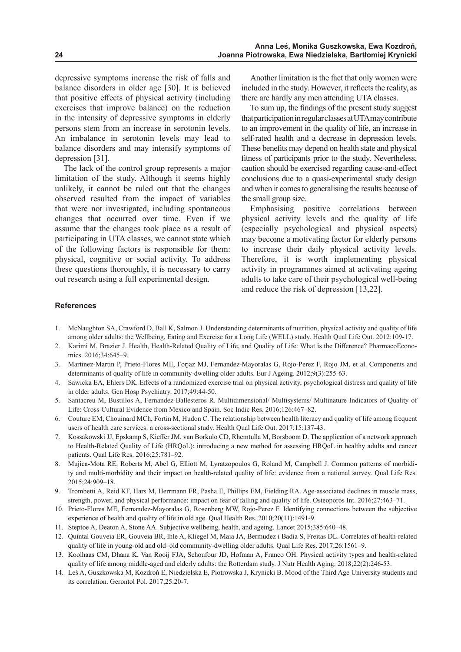depressive symptoms increase the risk of falls and balance disorders in older age [30]. It is believed that positive effects of physical activity (including exercises that improve balance) on the reduction in the intensity of depressive symptoms in elderly persons stem from an increase in serotonin levels. An imbalance in serotonin levels may lead to balance disorders and may intensify symptoms of depression [31].

The lack of the control group represents a major limitation of the study. Although it seems highly unlikely, it cannot be ruled out that the changes observed resulted from the impact of variables that were not investigated, including spontaneous changes that occurred over time. Even if we assume that the changes took place as a result of participating in UTA classes, we cannot state which of the following factors is responsible for them: physical, cognitive or social activity. To address these questions thoroughly, it is necessary to carry out research using a full experimental design.

Another limitation is the fact that only women were included in the study. However, it reflects the reality, as there are hardly any men attending UTA classes.

To sum up, the findings of the present study suggest that participation in regular classes at UTA may contribute to an improvement in the quality of life, an increase in self-rated health and a decrease in depression levels. These benefits may depend on health state and physical fitness of participants prior to the study. Nevertheless, caution should be exercised regarding cause-and-effect conclusions due to a quasi-experimental study design and when it comes to generalising the results because of the small group size.

Emphasising positive correlations between physical activity levels and the quality of life (especially psychological and physical aspects) may become a motivating factor for elderly persons to increase their daily physical activity levels. Therefore, it is worth implementing physical activity in programmes aimed at activating ageing adults to take care of their psychological well-being and reduce the risk of depression [13,22].

#### **References**

- 1. McNaughton SA, Crawford D, Ball K, Salmon J. Understanding determinants of nutrition, physical activity and quality of life among older adults: the Wellbeing, Eating and Exercise for a Long Life (WELL) study. Health Qual Life Out. 2012:109-17.
- 2. Karimi M, Brazier J. Health, Health-Related Quality of Life, and Quality of Life: What is the Difference? PharmacoEconomics. 2016;34:645–9.
- 3. Martinez-Martin P, Prieto-Flores ME, Forjaz MJ, Fernandez-Mayoralas G, Rojo-Perez F, Rojo JM, et al. Components and determinants of quality of life in community-dwelling older adults. Eur J Ageing. 2012;9(3):255-63.
- 4. Sawicka EA, Ehlers DK. Effects of a randomized exercise trial on physical activity, psychological distress and quality of life in older adults. Gen Hosp Psychiatry. 2017;49:44-50.
- 5. Santacreu M, Bustillos A, Fernandez-Ballesteros R. Multidimensional/ Multisystems/ Multinature Indicators of Quality of Life: Cross-Cultural Evidence from Mexico and Spain. Soc Indic Res. 2016;126:467–82.
- 6. Couture EM, Chouinard MCh, Fortin M, Hudon C. The relationship between health literacy and quality of life among frequent users of health care services: a cross-sectional study. Health Qual Life Out. 2017;15:137-43.
- 7. Kossakowski JJ, Epskamp S, Kieffer JM, van Borkulo CD, Rhemtulla M, Borsboom D. The application of a network approach to Health-Related Quality of Life (HRQoL): introducing a new method for assessing HRQoL in healthy adults and cancer patients. Qual Life Res. 2016;25:781–92.
- 8. Mujica-Mota RE, Roberts M, Abel G, Elliott M, Lyratzopoulos G, Roland M, Campbell J. Common patterns of morbidity and multi-morbidity and their impact on health-related quality of life: evidence from a national survey. Qual Life Res. 2015;24:909–18.
- 9. Trombetti A, Reid KF, Hars M, Herrmann FR, Pasha E, Phillips EM, Fielding RA. Age-associated declines in muscle mass, strength, power, and physical performance: impact on fear of falling and quality of life. Osteoporos Int. 2016;27:463–71.
- 10. Prieto-Flores ME, Fernandez-Mayoralas G, Rosenberg MW, Rojo-Perez F. Identifying connections between the subjective experience of health and quality of life in old age. Qual Health Res. 2010;20(11):1491-9.
- 11. Steptoe A, Deaton A, Stone AA. Subjective wellbeing, health, and ageing. Lancet 2015;385:640–48.
- 12. Quintal Gouveia ER, Gouveia BR, Ihle A, Kliegel M, Maia JA, Bermudez i Badia S, Freitas DL. Correlates of health-related quality of life in young-old and old–old community-dwelling older adults. Qual Life Res. 2017;26:1561–9.
- 13. Koolhaas CM, Dhana K, Van Rooij FJA, Schoufour JD, Hofman A, Franco OH. Physical activity types and health-related quality of life among middle-aged and elderly adults: the Rotterdam study. J Nutr Health Aging. 2018;22(2):246-53.
- 14. Leś A, Guszkowska M, Kozdroń E, Niedzielska E, Piotrowska J, Krynicki B. Mood of the Third Age University students and its correlation. Gerontol Pol. 2017;25:20-7.